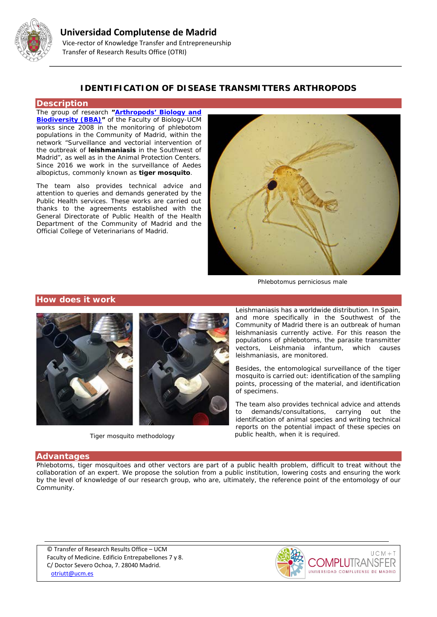

## **IDENTIFICATION OF DISEASE TRANSMITTERS ARTHROPODS**

### **Description**

The group of research **["Arthropods' Biology and](http://bba.bioucm.es/)  [Biodiversity \(BBA\)"](http://bba.bioucm.es/)** of the Faculty of Biology-UCM works since 2008 in the monitoring of phlebotom populations in the Community of Madrid, within the network "Surveillance and vectorial intervention of the outbreak of **leishmaniasis** in the Southwest of Madrid", as well as in the Animal Protection Centers. Since 2016 we work in the surveillance of Aedes albopictus, commonly known as **tiger mosquito**.

The team also provides technical advice and attention to queries and demands generated by the Public Health services. These works are carried out thanks to the agreements established with the General Directorate of Public Health of the Health Department of the Community of Madrid and the Official College of Veterinarians of Madrid.



*Phlebotomus perniciosus male*

### **How does it work**



*Tiger mosquito methodology*

Leishmaniasis has a worldwide distribution. In Spain, and more specifically in the Southwest of the Community of Madrid there is an outbreak of human leishmaniasis currently active. For this reason the populations of phlebotoms, the parasite transmitter<br>vectors. Leishmania infantum. which causes vectors, Leishmania infantum, leishmaniasis, are monitored.

Besides, the entomological surveillance of the tiger mosquito is carried out: identification of the sampling points, processing of the material, and identification of specimens.

The team also provides technical advice and attends to demands/consultations, carrying out the identification of animal species and writing technical reports on the potential impact of these species on public health, when it is required.

### **Advantages**

Phlebotoms, tiger mosquitoes and other vectors are part of a public health problem, difficult to treat without the collaboration of an expert. We propose the solution from a public institution, lowering costs and ensuring the work by the level of knowledge of our research group, who are, ultimately, the reference point of the entomology of our Community.

© Transfer of Research Results Office – UCM Faculty of Medicine. Edificio Entrepabellones 7 y 8. C/ Doctor Severo Ochoa, 7. 28040 Madrid. [otriutt@ucm.es](mailto:otriutt@ucm.es;paddy@bio.ucm.es;edruiz@ucm.es?subject=IDENTIFICATION%20OF%20DISEASE%20TRANSMITTERS%20ARTHROPODS)